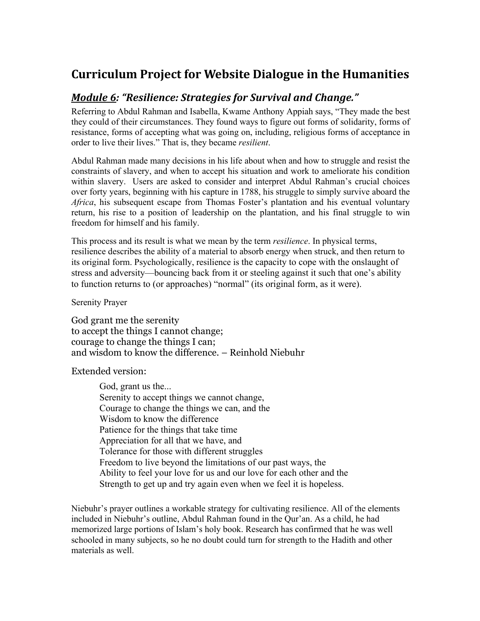## **Curriculum Project for Website Dialogue in the Humanities**

## *Module 6: "Resilience: Strategies for Survival and Change."*

Referring to Abdul Rahman and Isabella, Kwame Anthony Appiah says, "They made the best they could of their circumstances. They found ways to figure out forms of solidarity, forms of resistance, forms of accepting what was going on, including, religious forms of acceptance in order to live their lives." That is, they became *resilient*.

Abdul Rahman made many decisions in his life about when and how to struggle and resist the constraints of slavery, and when to accept his situation and work to ameliorate his condition within slavery. Users are asked to consider and interpret Abdul Rahman's crucial choices over forty years, beginning with his capture in 1788, his struggle to simply survive aboard the *Africa*, his subsequent escape from Thomas Foster's plantation and his eventual voluntary return, his rise to a position of leadership on the plantation, and his final struggle to win freedom for himself and his family.

This process and its result is what we mean by the term *resilience*. In physical terms, resilience describes the ability of a material to absorb energy when struck, and then return to its original form. Psychologically, resilience is the capacity to cope with the onslaught of stress and adversity—bouncing back from it or steeling against it such that one's ability to function returns to (or approaches) "normal" (its original form, as it were).

Serenity Prayer

God grant me the serenity to accept the things I cannot change; courage to change the things I can; and wisdom to know the difference. – Reinhold Niebuhr

Extended version:

God, grant us the... Serenity to accept things we cannot change, Courage to change the things we can, and the Wisdom to know the difference Patience for the things that take time Appreciation for all that we have, and Tolerance for those with different struggles Freedom to live beyond the limitations of our past ways, the Ability to feel your love for us and our love for each other and the Strength to get up and try again even when we feel it is hopeless.

Niebuhr's prayer outlines a workable strategy for cultivating resilience. All of the elements included in Niebuhr's outline, Abdul Rahman found in the Qur'an. As a child, he had memorized large portions of Islam's holy book. Research has confirmed that he was well schooled in many subjects, so he no doubt could turn for strength to the Hadith and other materials as well.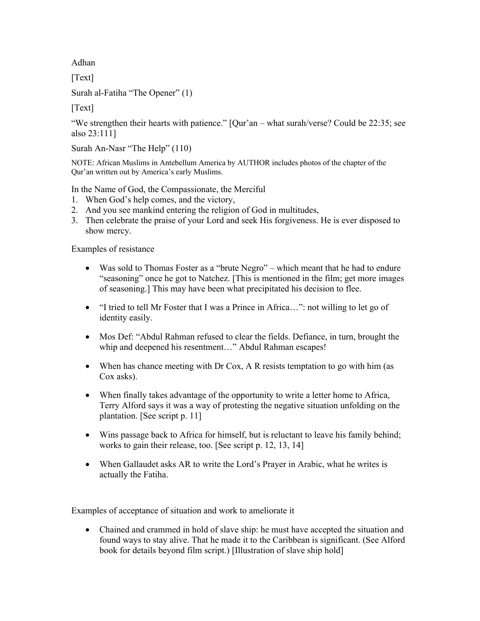Adhan

[Text]

Surah al-Fatiha "The Opener" (1)

 $[Text]$ 

"We strengthen their hearts with patience." [Qur'an – what surah/verse? Could be 22:35; see also 23:111]

Surah An-Nasr "The Help" (110)

NOTE: African Muslims in Antebellum America by AUTHOR includes photos of the chapter of the Qur'an written out by America's early Muslims.

In the Name of God, the Compassionate, the Merciful

- 1. When God's help comes, and the victory,
- 2. And you see mankind entering the religion of God in multitudes,
- 3. Then celebrate the praise of your Lord and seek His forgiveness. He is ever disposed to show mercy.

Examples of resistance

- Was sold to Thomas Foster as a "brute Negro" which meant that he had to endure "seasoning" once he got to Natchez. [This is mentioned in the film; get more images of seasoning.] This may have been what precipitated his decision to flee.
- "I tried to tell Mr Foster that I was a Prince in Africa...": not willing to let go of identity easily.
- Mos Def: "Abdul Rahman refused to clear the fields. Defiance, in turn, brought the whip and deepened his resentment…" Abdul Rahman escapes!
- When has chance meeting with Dr Cox, A R resists temptation to go with him (as Cox asks).
- When finally takes advantage of the opportunity to write a letter home to Africa, Terry Alford says it was a way of protesting the negative situation unfolding on the plantation. [See script p. 11]
- Wins passage back to Africa for himself, but is reluctant to leave his family behind; works to gain their release, too. [See script p. 12, 13, 14]
- When Gallaudet asks AR to write the Lord's Prayer in Arabic, what he writes is actually the Fatiha.

Examples of acceptance of situation and work to ameliorate it

• Chained and crammed in hold of slave ship: he must have accepted the situation and found ways to stay alive. That he made it to the Caribbean is significant. (See Alford book for details beyond film script.) [Illustration of slave ship hold]